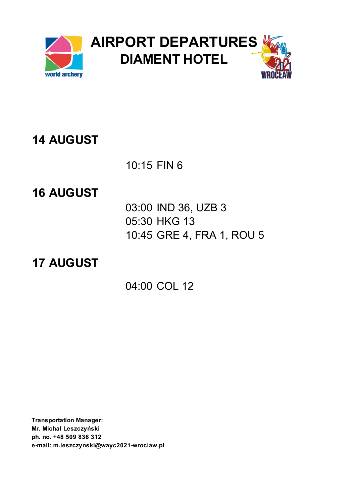

10:15 FIN 6

### **16 AUGUST**

03:00 IND 36, UZB 3 05:30 HKG 13 10:45 GRE 4, FRA 1, ROU 5

### **17 AUGUST**

04:00 COL 12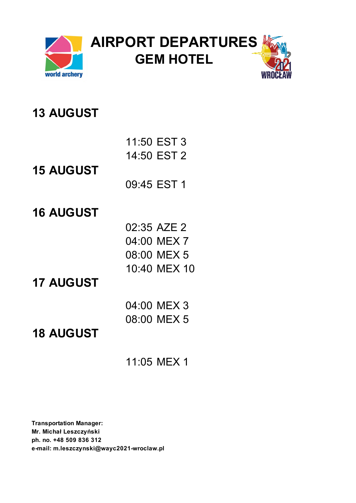

| 11:50 EST 3 |  |
|-------------|--|
| 14:50 EST 2 |  |

**15 AUGUST**

09:45 EST 1

#### **16 AUGUST**

| 02:35 AZE 2  |
|--------------|
| 04:00 MEX 7  |
| 08:00 MEX 5  |
| 10:40 MEX 10 |

#### **17 AUGUST**

| 04:00 MEX 3 |
|-------------|
| 08:00 MEX 5 |

### **18 AUGUST**

11:05 MEX 1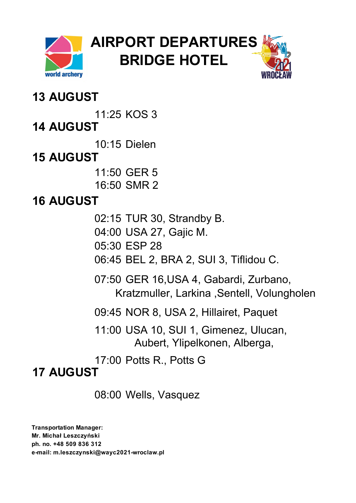

**AIRPORT DEPARTURES BRIDGE HOTEL**



### **13 AUGUST**

11:25 KOS 3

**14 AUGUST**

10:15 Dielen

# **15 AUGUST**

11:50 GER 5 16:50 SMR 2

# **16 AUGUST**

02:15 TUR 30, Strandby B.

04:00 USA 27, Gajic M.

05:30 ESP 28

06:45 BEL 2, BRA 2, SUI 3, Tiflidou C.

07:50 GER 16,USA 4, Gabardi, Zurbano, Kratzmuller, Larkina ,Sentell, Volungholen

09:45 NOR 8, USA 2, Hillairet, Paquet

11:00 USA 10, SUI 1, Gimenez, Ulucan, Aubert, Ylipelkonen, Alberga,

17:00 Potts R., Potts G

# **17 AUGUST**

08:00 Wells, Vasquez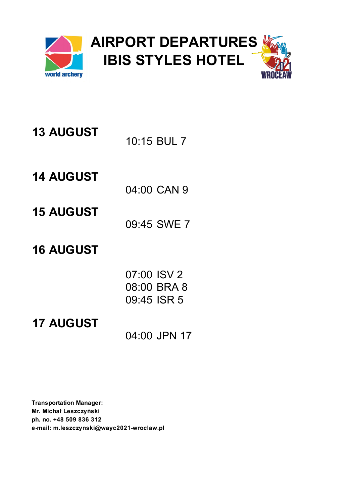

| <b>13 AUGUST</b> |             |
|------------------|-------------|
|                  | 10:15 BUL 7 |

04:00 CAN 9

- **15 AUGUST**
- 09:45 SWE 7
- **16 AUGUST**

| 07:00 ISV 2 |             |
|-------------|-------------|
|             | 08:00 BRA 8 |
| 09:45 ISR 5 |             |

**17 AUGUST**

04:00 JPN 17